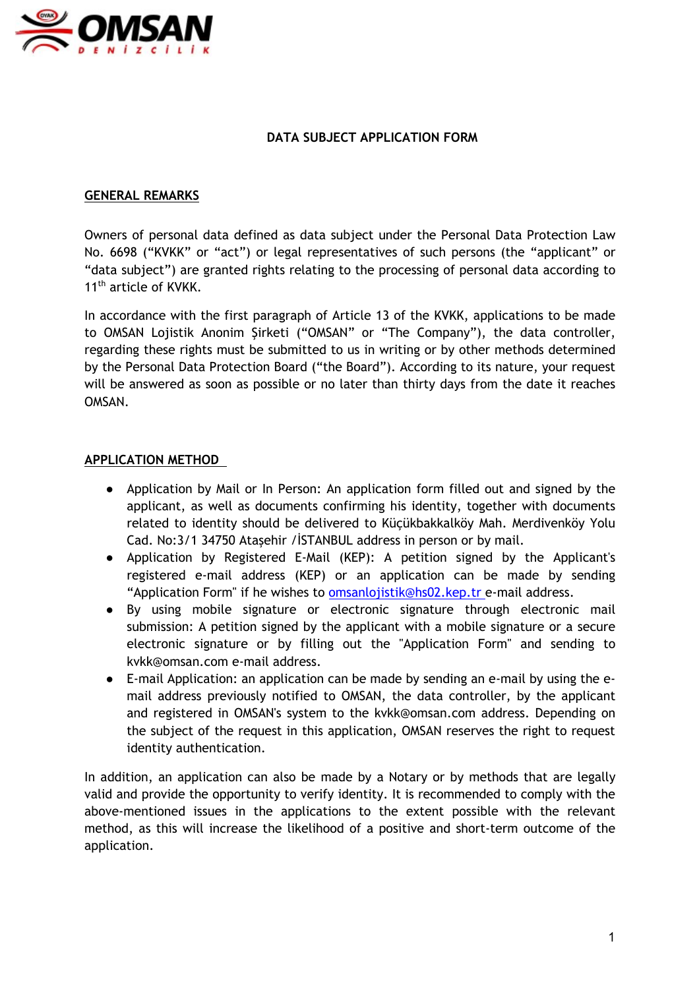

## **DATA SUBJECT APPLICATION FORM**

### **GENERAL REMARKS**

Owners of personal data defined as data subject under the Personal Data Protection Law No. 6698 ("KVKK" or "act") or legal representatives of such persons (the "applicant" or "data subject") are granted rights relating to the processing of personal data according to 11<sup>th</sup> article of KVKK.

In accordance with the first paragraph of Article 13 of the KVKK, applications to be made to OMSAN Lojistik Anonim Şirketi ("OMSAN" or "The Company"), the data controller, regarding these rights must be submitted to us in writing or by other methods determined by the Personal Data Protection Board ("the Board"). According to its nature, your request will be answered as soon as possible or no later than thirty days from the date it reaches OMSAN.

## **APPLICATION METHOD**

- Application by Mail or In Person: An application form filled out and signed by the applicant, as well as documents confirming his identity, together with documents related to identity should be delivered to Küçükbakkalköy Mah. Merdivenköy Yolu Cad. No:3/1 34750 Ataşehir /İSTANBUL address in person or by mail.
- Application by Registered E-Mail (KEP): A petition signed by the Applicant's registered e-mail address (KEP) or an application can be made by sending "Application Form" if he wishes to omsanlojistik@hs02.kep.tr e-mail address.
- By using mobile signature or electronic signature through electronic mail submission: A petition signed by the applicant with a mobile signature or a secure electronic signature or by filling out the "Application Form" and sending to kvkk@omsan.com e-mail address.
- E-mail Application: an application can be made by sending an e-mail by using the email address previously notified to OMSAN, the data controller, by the applicant and registered in OMSAN's system to the kvkk@omsan.com address. Depending on the subject of the request in this application, OMSAN reserves the right to request identity authentication.

In addition, an application can also be made by a Notary or by methods that are legally valid and provide the opportunity to verify identity. It is recommended to comply with the above-mentioned issues in the applications to the extent possible with the relevant method, as this will increase the likelihood of a positive and short-term outcome of the application.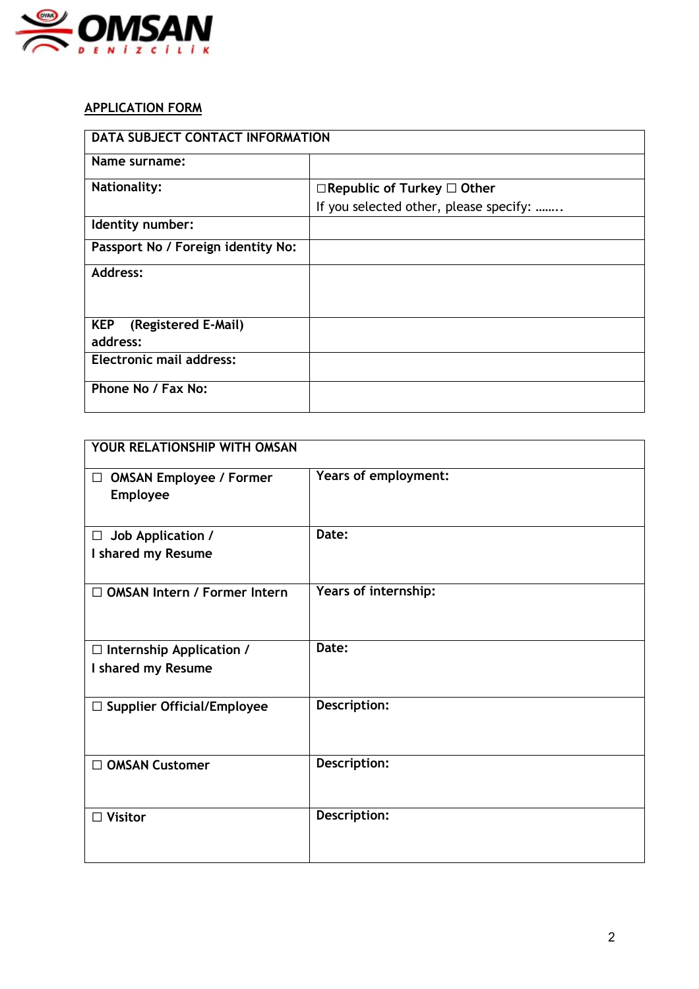

# **APPLICATION FORM**

| DATA SUBJECT CONTACT INFORMATION              |                                        |
|-----------------------------------------------|----------------------------------------|
| Name surname:                                 |                                        |
| <b>Nationality:</b>                           | $\Box$ Republic of Turkey $\Box$ Other |
|                                               | If you selected other, please specify: |
| Identity number:                              |                                        |
| Passport No / Foreign identity No:            |                                        |
| Address:                                      |                                        |
| <b>KEP</b><br>(Registered E-Mail)<br>address: |                                        |
| <b>Electronic mail address:</b>               |                                        |
| Phone No / Fax No:                            |                                        |

| YOUR RELATIONSHIP WITH OMSAN                          |                      |
|-------------------------------------------------------|----------------------|
| $\Box$ OMSAN Employee / Former<br>Employee            | Years of employment: |
| $\Box$ Job Application /<br>I shared my Resume        | Date:                |
| $\Box$ OMSAN Intern / Former Intern                   | Years of internship: |
| $\Box$ Internship Application /<br>I shared my Resume | Date:                |
| $\Box$ Supplier Official/Employee                     | Description:         |
| □ OMSAN Customer                                      | Description:         |
| <b>Visitor</b>                                        | Description:         |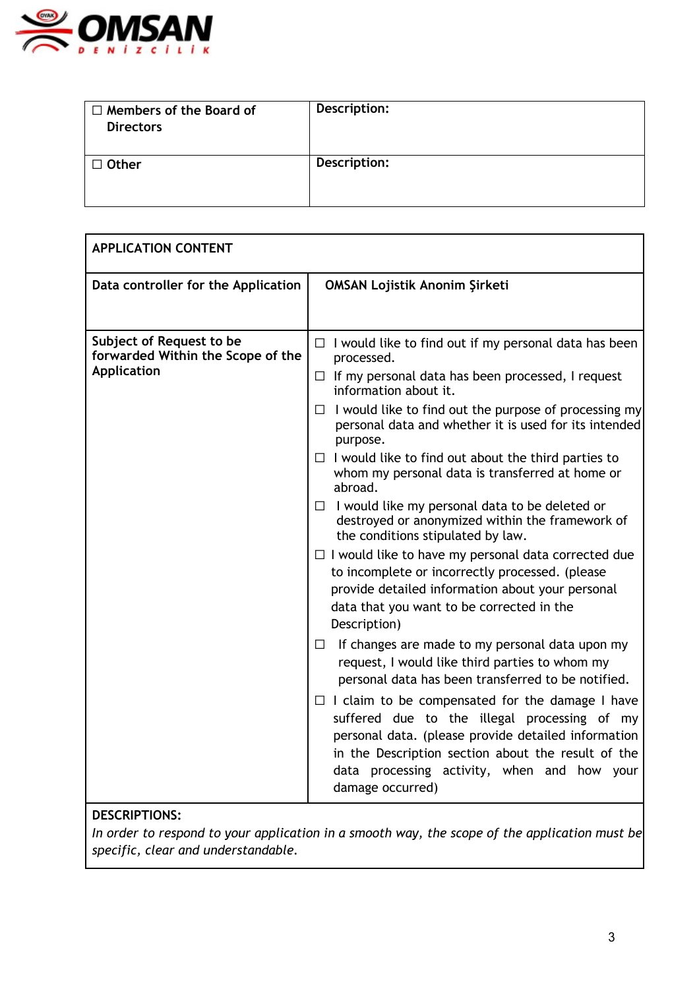

| $\Box$ Members of the Board of<br><b>Directors</b> | Description: |
|----------------------------------------------------|--------------|
| $\Box$ Other                                       | Description: |

| <b>APPLICATION CONTENT</b>                                                          |                                                                                                                                                                                                                                                                                        |
|-------------------------------------------------------------------------------------|----------------------------------------------------------------------------------------------------------------------------------------------------------------------------------------------------------------------------------------------------------------------------------------|
| Data controller for the Application                                                 | <b>OMSAN Lojistik Anonim Şirketi</b>                                                                                                                                                                                                                                                   |
|                                                                                     |                                                                                                                                                                                                                                                                                        |
| Subject of Request to be<br>forwarded Within the Scope of the<br><b>Application</b> | $\Box$ I would like to find out if my personal data has been<br>processed.<br>$\Box$ If my personal data has been processed, I request                                                                                                                                                 |
|                                                                                     | information about it.                                                                                                                                                                                                                                                                  |
|                                                                                     | $\Box$ I would like to find out the purpose of processing my<br>personal data and whether it is used for its intended<br>purpose.                                                                                                                                                      |
|                                                                                     | $\Box$ I would like to find out about the third parties to<br>whom my personal data is transferred at home or<br>abroad.                                                                                                                                                               |
|                                                                                     | $\Box$ I would like my personal data to be deleted or<br>destroyed or anonymized within the framework of<br>the conditions stipulated by law.                                                                                                                                          |
|                                                                                     | $\Box$ I would like to have my personal data corrected due<br>to incomplete or incorrectly processed. (please<br>provide detailed information about your personal<br>data that you want to be corrected in the<br>Description)                                                         |
|                                                                                     | If changes are made to my personal data upon my<br>$\Box$<br>request, I would like third parties to whom my<br>personal data has been transferred to be notified.                                                                                                                      |
|                                                                                     | $\Box$ I claim to be compensated for the damage I have<br>suffered due to the illegal processing of my<br>personal data. (please provide detailed information<br>in the Description section about the result of the<br>data processing activity, when and how your<br>damage occurred) |
|                                                                                     |                                                                                                                                                                                                                                                                                        |

# **DESCRIPTIONS:**

*In order to respond to your application in a smooth way, the scope of the application must be specific, clear and understandable.*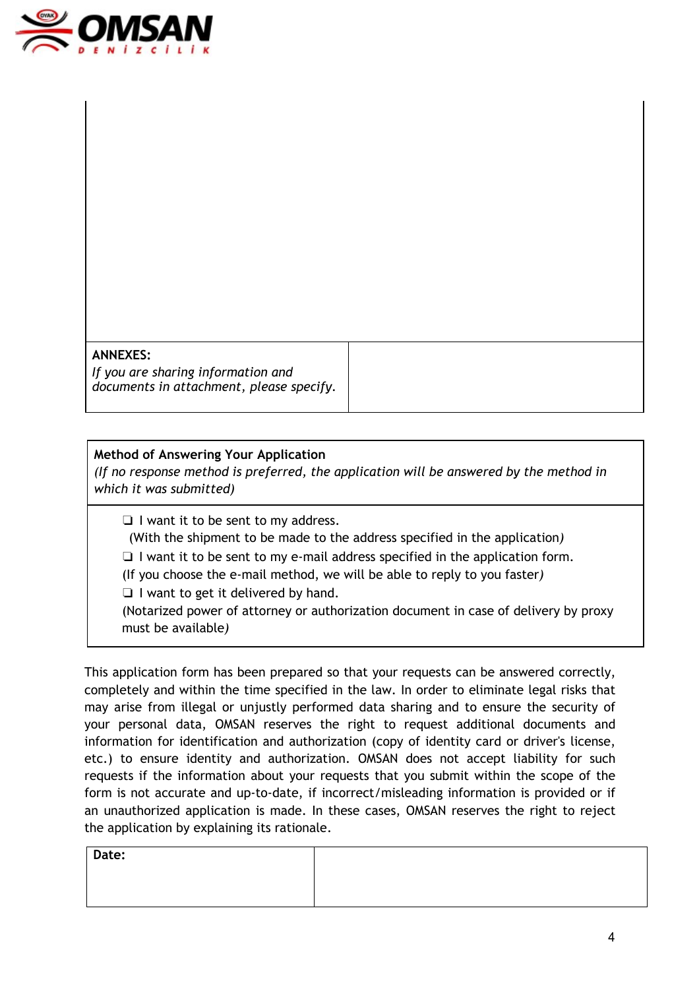

#### **ANNEXES:**

*If you are sharing information and documents in attachment, please specify.*

## **Method of Answering Your Application**

*(If no response method is preferred, the application will be answered by the method in which it was submitted)*

❏ I want it to be sent to my address.

(With the shipment to be made to the address specified in the application*)*

❏ I want it to be sent to my e-mail address specified in the application form.

(If you choose the e-mail method, we will be able to reply to you faster*)*

❏ I want to get it delivered by hand.

(Notarized power of attorney or authorization document in case of delivery by proxy must be available*)*

This application form has been prepared so that your requests can be answered correctly, completely and within the time specified in the law. In order to eliminate legal risks that may arise from illegal or unjustly performed data sharing and to ensure the security of your personal data, OMSAN reserves the right to request additional documents and information for identification and authorization (copy of identity card or driver's license, etc.) to ensure identity and authorization. OMSAN does not accept liability for such requests if the information about your requests that you submit within the scope of the form is not accurate and up-to-date, if incorrect/misleading information is provided or if an unauthorized application is made. In these cases, OMSAN reserves the right to reject the application by explaining its rationale.

| ۰.<br>× |  |
|---------|--|